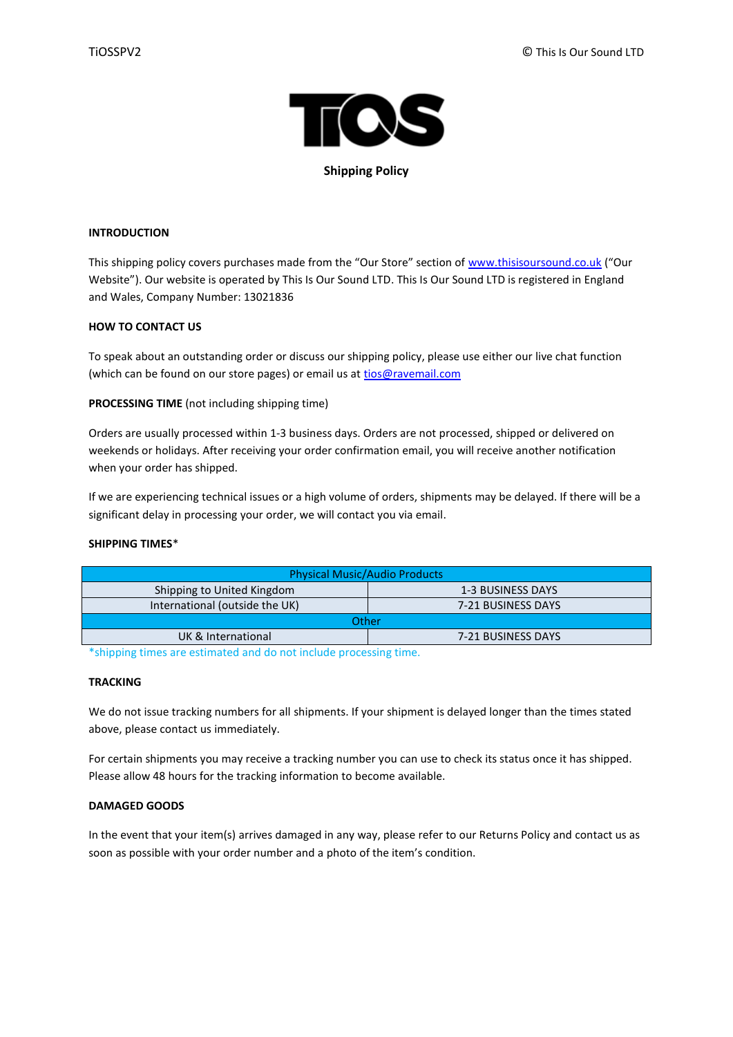

**Shipping Policy**

# **INTRODUCTION**

This shipping policy covers purchases made from the "Our Store" section of [www.thisisoursound.co.uk](http://www.thisisoursound.co.uk/) ("Our Website"). Our website is operated by This Is Our Sound LTD. This Is Our Sound LTD is registered in England and Wales, Company Number: 13021836

### **HOW TO CONTACT US**

To speak about an outstanding order or discuss our shipping policy, please use either our live chat function (which can be found on our store pages) or email us at [tios@ravemail.com](mailto:tios@ravemail.com)

**PROCESSING TIME** (not including shipping time)

Orders are usually processed within 1-3 business days. Orders are not processed, shipped or delivered on weekends or holidays. After receiving your order confirmation email, you will receive another notification when your order has shipped.

If we are experiencing technical issues or a high volume of orders, shipments may be delayed. If there will be a significant delay in processing your order, we will contact you via email.

#### **SHIPPING TIMES**\*

| <b>Physical Music/Audio Products</b> |                    |
|--------------------------------------|--------------------|
| Shipping to United Kingdom           | 1-3 BUSINESS DAYS  |
| International (outside the UK)       | 7-21 BUSINESS DAYS |
| Other                                |                    |
| UK & International                   | 7-21 BUSINESS DAYS |
|                                      |                    |

\*shipping times are estimated and do not include processing time.

### **TRACKING**

We do not issue tracking numbers for all shipments. If your shipment is delayed longer than the times stated above, please contact us immediately.

For certain shipments you may receive a tracking number you can use to check its status once it has shipped. Please allow 48 hours for the tracking information to become available.

# **DAMAGED GOODS**

In the event that your item(s) arrives damaged in any way, please refer to our Returns Policy and contact us as soon as possible with your order number and a photo of the item's condition.